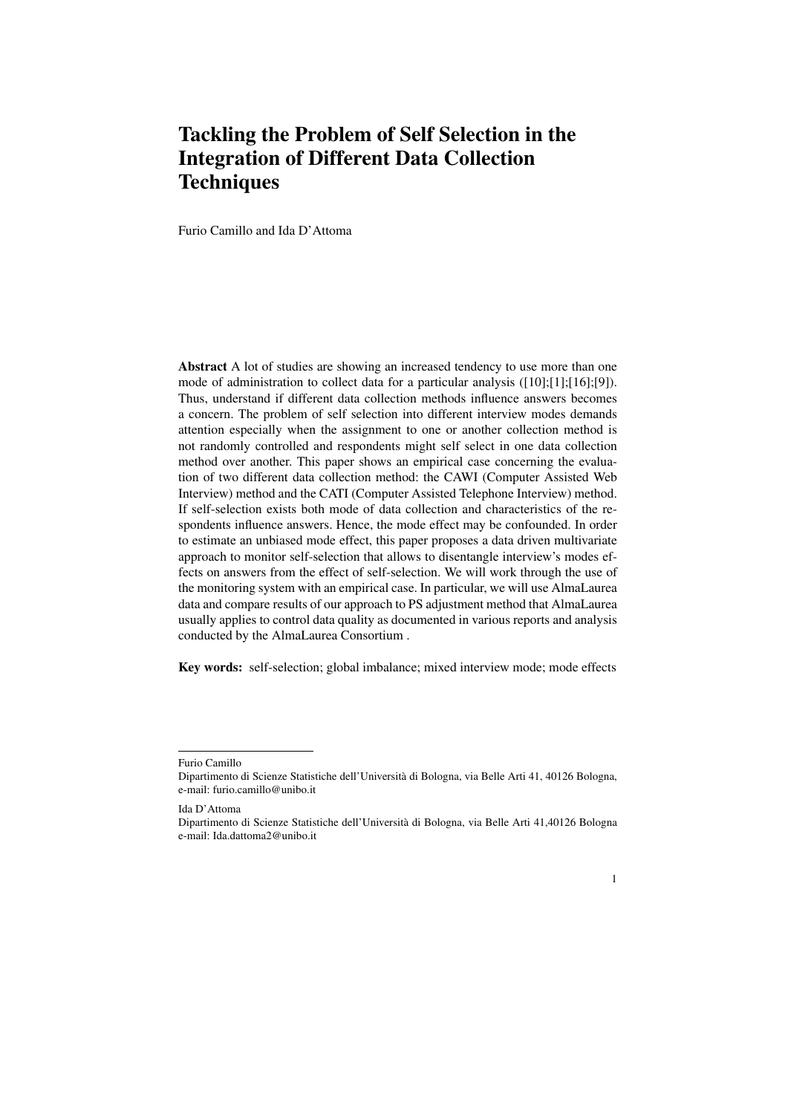# Tackling the Problem of Self Selection in the Integration of Different Data Collection **Techniques**

Furio Camillo and Ida D'Attoma

Abstract A lot of studies are showing an increased tendency to use more than one mode of administration to collect data for a particular analysis ([10];[1];[16];[9]). Thus, understand if different data collection methods influence answers becomes a concern. The problem of self selection into different interview modes demands attention especially when the assignment to one or another collection method is not randomly controlled and respondents might self select in one data collection method over another. This paper shows an empirical case concerning the evaluation of two different data collection method: the CAWI (Computer Assisted Web Interview) method and the CATI (Computer Assisted Telephone Interview) method. If self-selection exists both mode of data collection and characteristics of the respondents influence answers. Hence, the mode effect may be confounded. In order to estimate an unbiased mode effect, this paper proposes a data driven multivariate approach to monitor self-selection that allows to disentangle interview's modes effects on answers from the effect of self-selection. We will work through the use of the monitoring system with an empirical case. In particular, we will use AlmaLaurea data and compare results of our approach to PS adjustment method that AlmaLaurea usually applies to control data quality as documented in various reports and analysis conducted by the AlmaLaurea Consortium .

Key words: self-selection; global imbalance; mixed interview mode; mode effects

Dipartimento di Scienze Statistiche dell'Universita di Bologna, via Belle Arti 41,40126 Bologna ` e-mail: Ida.dattoma2@unibo.it



Furio Camillo

Dipartimento di Scienze Statistiche dell'Universita di Bologna, via Belle Arti 41, 40126 Bologna, ` e-mail: furio.camillo@unibo.it

Ida D'Attoma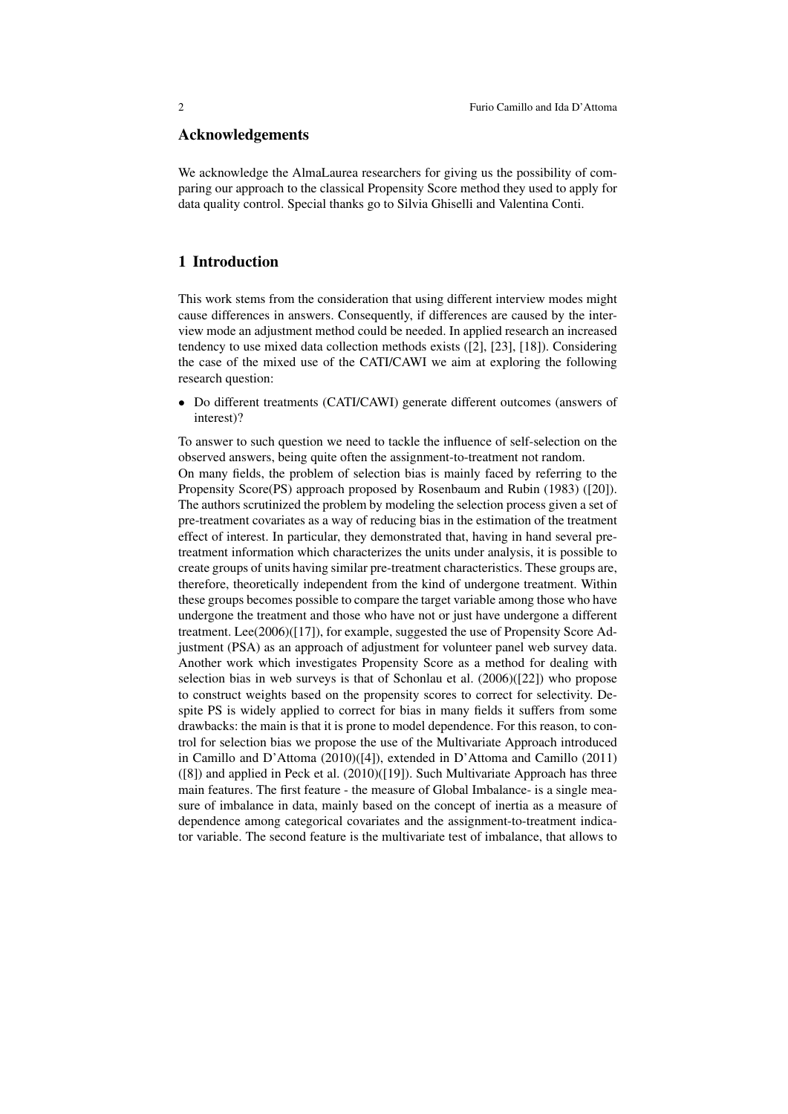## Acknowledgements

We acknowledge the AlmaLaurea researchers for giving us the possibility of comparing our approach to the classical Propensity Score method they used to apply for data quality control. Special thanks go to Silvia Ghiselli and Valentina Conti.

## 1 Introduction

This work stems from the consideration that using different interview modes might cause differences in answers. Consequently, if differences are caused by the interview mode an adjustment method could be needed. In applied research an increased tendency to use mixed data collection methods exists ([2], [23], [18]). Considering the case of the mixed use of the CATI/CAWI we aim at exploring the following research question:

*•* Do different treatments (CATI/CAWI) generate different outcomes (answers of interest)?

To answer to such question we need to tackle the influence of self-selection on the observed answers, being quite often the assignment-to-treatment not random. On many fields, the problem of selection bias is mainly faced by referring to the Propensity Score(PS) approach proposed by Rosenbaum and Rubin (1983) ([20]). The authors scrutinized the problem by modeling the selection process given a set of pre-treatment covariates as a way of reducing bias in the estimation of the treatment effect of interest. In particular, they demonstrated that, having in hand several pretreatment information which characterizes the units under analysis, it is possible to create groups of units having similar pre-treatment characteristics. These groups are, therefore, theoretically independent from the kind of undergone treatment. Within these groups becomes possible to compare the target variable among those who have undergone the treatment and those who have not or just have undergone a different treatment. Lee(2006)([17]), for example, suggested the use of Propensity Score Adjustment (PSA) as an approach of adjustment for volunteer panel web survey data. Another work which investigates Propensity Score as a method for dealing with selection bias in web surveys is that of Schonlau et al. (2006)([22]) who propose to construct weights based on the propensity scores to correct for selectivity. Despite PS is widely applied to correct for bias in many fields it suffers from some drawbacks: the main is that it is prone to model dependence. For this reason, to control for selection bias we propose the use of the Multivariate Approach introduced in Camillo and D'Attoma (2010)([4]), extended in D'Attoma and Camillo (2011) ([8]) and applied in Peck et al. (2010)([19]). Such Multivariate Approach has three main features. The first feature - the measure of Global Imbalance- is a single measure of imbalance in data, mainly based on the concept of inertia as a measure of dependence among categorical covariates and the assignment-to-treatment indicator variable. The second feature is the multivariate test of imbalance, that allows to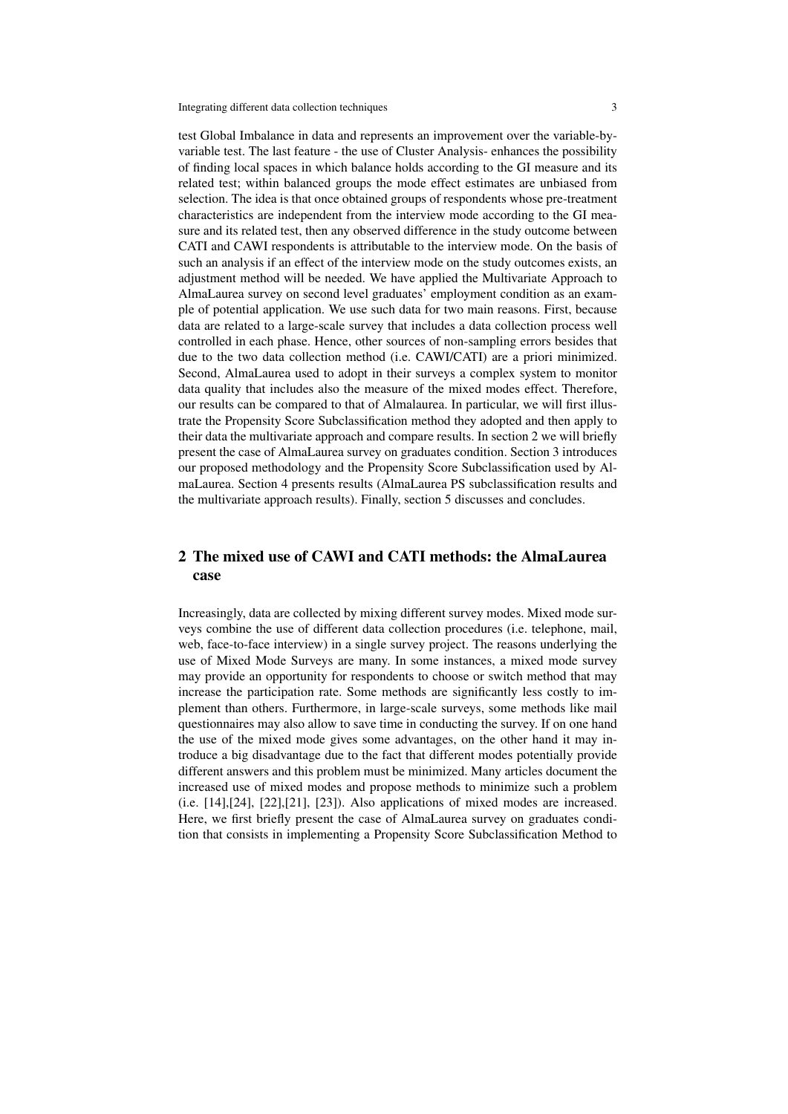test Global Imbalance in data and represents an improvement over the variable-byvariable test. The last feature - the use of Cluster Analysis- enhances the possibility of finding local spaces in which balance holds according to the GI measure and its related test; within balanced groups the mode effect estimates are unbiased from selection. The idea is that once obtained groups of respondents whose pre-treatment characteristics are independent from the interview mode according to the GI measure and its related test, then any observed difference in the study outcome between CATI and CAWI respondents is attributable to the interview mode. On the basis of such an analysis if an effect of the interview mode on the study outcomes exists, an adjustment method will be needed. We have applied the Multivariate Approach to AlmaLaurea survey on second level graduates' employment condition as an example of potential application. We use such data for two main reasons. First, because data are related to a large-scale survey that includes a data collection process well controlled in each phase. Hence, other sources of non-sampling errors besides that due to the two data collection method (i.e. CAWI/CATI) are a priori minimized. Second, AlmaLaurea used to adopt in their surveys a complex system to monitor data quality that includes also the measure of the mixed modes effect. Therefore, our results can be compared to that of Almalaurea. In particular, we will first illustrate the Propensity Score Subclassification method they adopted and then apply to their data the multivariate approach and compare results. In section 2 we will briefly present the case of AlmaLaurea survey on graduates condition. Section 3 introduces our proposed methodology and the Propensity Score Subclassification used by AlmaLaurea. Section 4 presents results (AlmaLaurea PS subclassification results and the multivariate approach results). Finally, section 5 discusses and concludes.

# 2 The mixed use of CAWI and CATI methods: the AlmaLaurea case

Increasingly, data are collected by mixing different survey modes. Mixed mode surveys combine the use of different data collection procedures (i.e. telephone, mail, web, face-to-face interview) in a single survey project. The reasons underlying the use of Mixed Mode Surveys are many. In some instances, a mixed mode survey may provide an opportunity for respondents to choose or switch method that may increase the participation rate. Some methods are significantly less costly to implement than others. Furthermore, in large-scale surveys, some methods like mail questionnaires may also allow to save time in conducting the survey. If on one hand the use of the mixed mode gives some advantages, on the other hand it may introduce a big disadvantage due to the fact that different modes potentially provide different answers and this problem must be minimized. Many articles document the increased use of mixed modes and propose methods to minimize such a problem (i.e. [14],[24], [22],[21], [23]). Also applications of mixed modes are increased. Here, we first briefly present the case of AlmaLaurea survey on graduates condition that consists in implementing a Propensity Score Subclassification Method to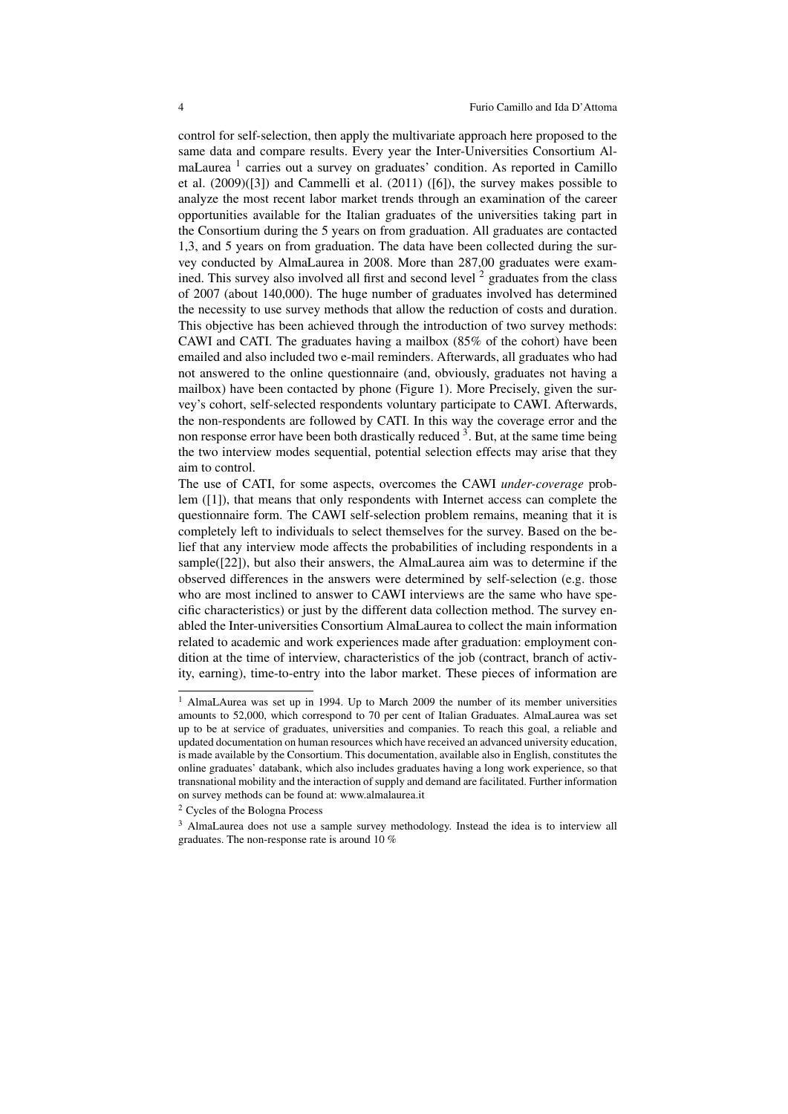control for self-selection, then apply the multivariate approach here proposed to the same data and compare results. Every year the Inter-Universities Consortium AlmaLaurea<sup>1</sup> carries out a survey on graduates' condition. As reported in Camillo et al. (2009)([3]) and Cammelli et al. (2011) ([6]), the survey makes possible to analyze the most recent labor market trends through an examination of the career opportunities available for the Italian graduates of the universities taking part in the Consortium during the 5 years on from graduation. All graduates are contacted 1,3, and 5 years on from graduation. The data have been collected during the survey conducted by AlmaLaurea in 2008. More than 287,00 graduates were examined. This survey also involved all first and second level  $2$  graduates from the class of 2007 (about 140,000). The huge number of graduates involved has determined the necessity to use survey methods that allow the reduction of costs and duration. This objective has been achieved through the introduction of two survey methods: CAWI and CATI. The graduates having a mailbox (85% of the cohort) have been emailed and also included two e-mail reminders. Afterwards, all graduates who had not answered to the online questionnaire (and, obviously, graduates not having a mailbox) have been contacted by phone (Figure 1). More Precisely, given the survey's cohort, self-selected respondents voluntary participate to CAWI. Afterwards, the non-respondents are followed by CATI. In this way the coverage error and the non response error have been both drastically reduced <sup>3</sup>. But, at the same time being the two interview modes sequential, potential selection effects may arise that they aim to control.

The use of CATI, for some aspects, overcomes the CAWI *under-coverage* problem ([1]), that means that only respondents with Internet access can complete the questionnaire form. The CAWI self-selection problem remains, meaning that it is completely left to individuals to select themselves for the survey. Based on the belief that any interview mode affects the probabilities of including respondents in a sample([22]), but also their answers, the AlmaLaurea aim was to determine if the observed differences in the answers were determined by self-selection (e.g. those who are most inclined to answer to CAWI interviews are the same who have specific characteristics) or just by the different data collection method. The survey enabled the Inter-universities Consortium AlmaLaurea to collect the main information related to academic and work experiences made after graduation: employment condition at the time of interview, characteristics of the job (contract, branch of activity, earning), time-to-entry into the labor market. These pieces of information are

<sup>&</sup>lt;sup>1</sup> AlmaLAurea was set up in 1994. Up to March 2009 the number of its member universities amounts to 52,000, which correspond to 70 per cent of Italian Graduates. AlmaLaurea was set up to be at service of graduates, universities and companies. To reach this goal, a reliable and updated documentation on human resources which have received an advanced university education, is made available by the Consortium. This documentation, available also in English, constitutes the online graduates' databank, which also includes graduates having a long work experience, so that transnational mobility and the interaction of supply and demand are facilitated. Further information on survey methods can be found at: www.almalaurea.it

<sup>2</sup> Cycles of the Bologna Process

<sup>&</sup>lt;sup>3</sup> AlmaLaurea does not use a sample survey methodology. Instead the idea is to interview all graduates. The non-response rate is around 10 %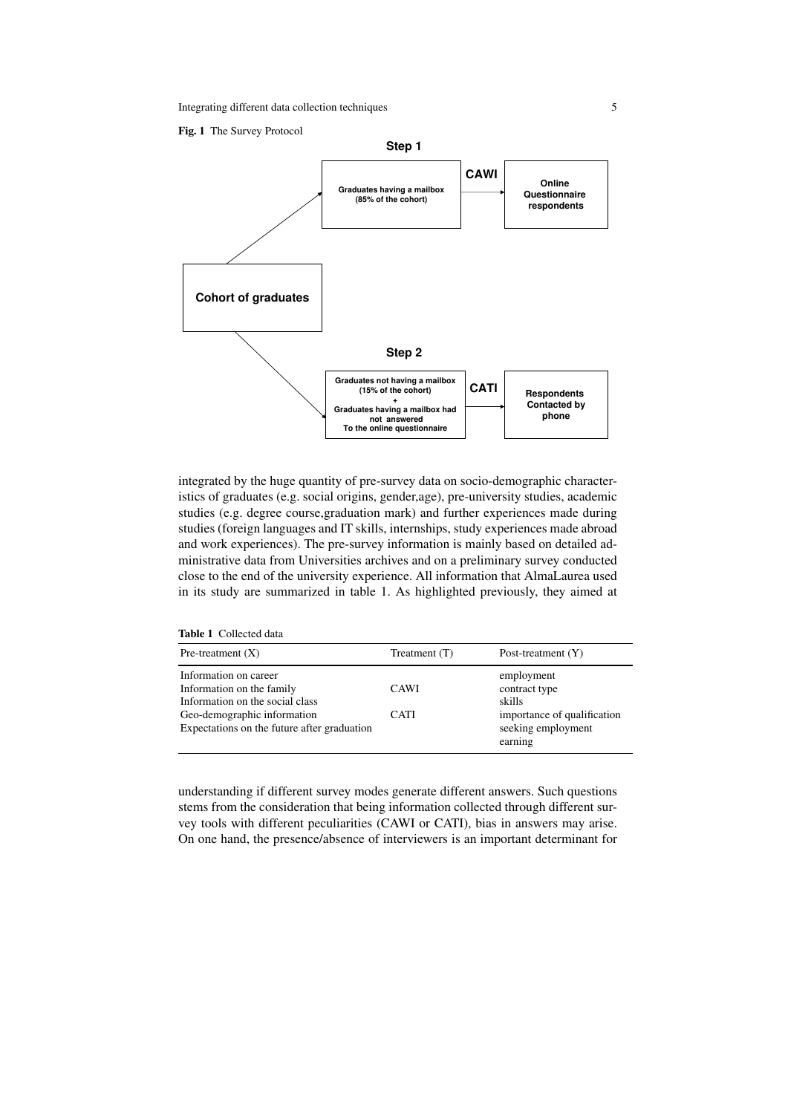

integrated by the huge quantity of pre-survey data on socio-demographic characteristics of graduates (e.g. social origins, gender,age), pre-university studies, academic studies (e.g. degree course,graduation mark) and further experiences made during studies (foreign languages and IT skills, internships, study experiences made abroad and work experiences). The pre-survey information is mainly based on detailed administrative data from Universities archives and on a preliminary survey conducted close to the end of the university experience. All information that AlmaLaurea used in its study are summarized in table 1. As highlighted previously, they aimed at

Table 1 Collected data

| Pre-treatment $(X)$                                                                   | Treatment $(T)$ | Post-treatment $(Y)$                                         |
|---------------------------------------------------------------------------------------|-----------------|--------------------------------------------------------------|
| Information on career<br>Information on the family<br>Information on the social class | <b>CAWI</b>     | employment<br>contract type<br>skills                        |
| Geo-demographic information<br>Expectations on the future after graduation            | CATI            | importance of qualification<br>seeking employment<br>earning |

understanding if different survey modes generate different answers. Such questions stems from the consideration that being information collected through different survey tools with different peculiarities (CAWI or CATI), bias in answers may arise. On one hand, the presence/absence of interviewers is an important determinant for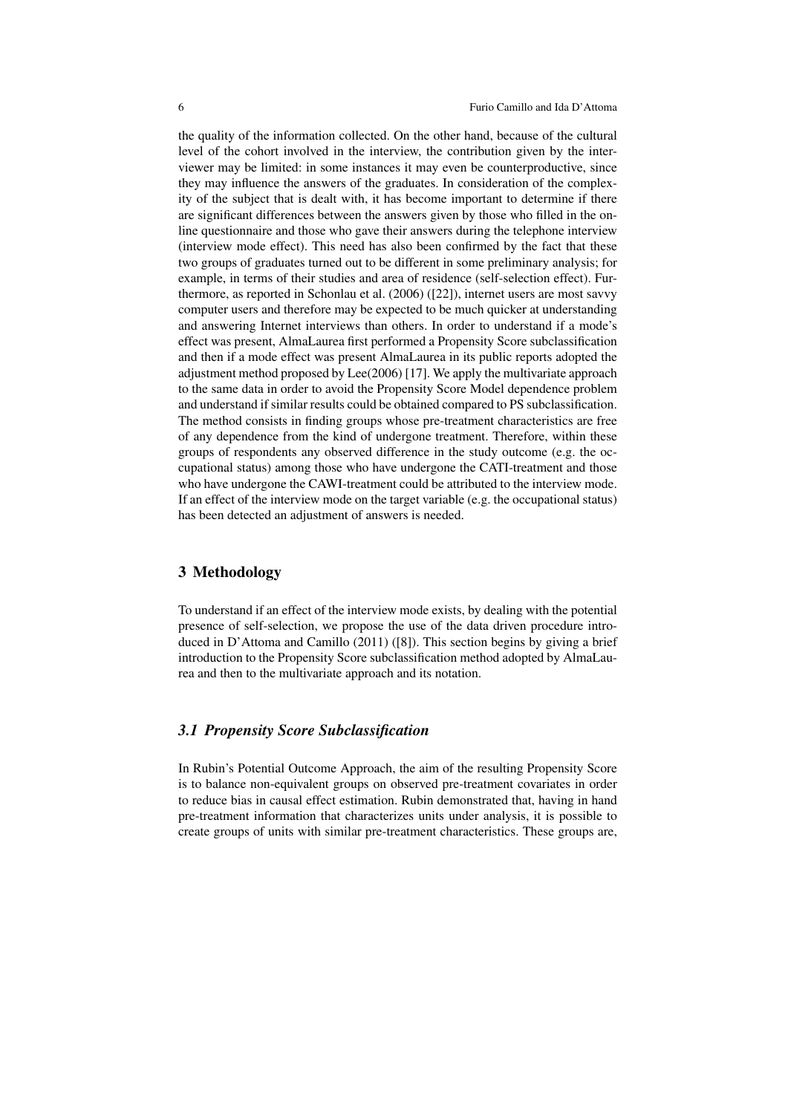the quality of the information collected. On the other hand, because of the cultural level of the cohort involved in the interview, the contribution given by the interviewer may be limited: in some instances it may even be counterproductive, since they may influence the answers of the graduates. In consideration of the complexity of the subject that is dealt with, it has become important to determine if there are significant differences between the answers given by those who filled in the online questionnaire and those who gave their answers during the telephone interview (interview mode effect). This need has also been confirmed by the fact that these two groups of graduates turned out to be different in some preliminary analysis; for example, in terms of their studies and area of residence (self-selection effect). Furthermore, as reported in Schonlau et al. (2006) ([22]), internet users are most savvy computer users and therefore may be expected to be much quicker at understanding and answering Internet interviews than others. In order to understand if a mode's effect was present, AlmaLaurea first performed a Propensity Score subclassification and then if a mode effect was present AlmaLaurea in its public reports adopted the adjustment method proposed by Lee(2006) [17]. We apply the multivariate approach to the same data in order to avoid the Propensity Score Model dependence problem and understand if similar results could be obtained compared to PS subclassification. The method consists in finding groups whose pre-treatment characteristics are free of any dependence from the kind of undergone treatment. Therefore, within these groups of respondents any observed difference in the study outcome (e.g. the occupational status) among those who have undergone the CATI-treatment and those who have undergone the CAWI-treatment could be attributed to the interview mode. If an effect of the interview mode on the target variable (e.g. the occupational status) has been detected an adjustment of answers is needed.

## 3 Methodology

To understand if an effect of the interview mode exists, by dealing with the potential presence of self-selection, we propose the use of the data driven procedure introduced in D'Attoma and Camillo (2011) ([8]). This section begins by giving a brief introduction to the Propensity Score subclassification method adopted by AlmaLaurea and then to the multivariate approach and its notation.

## *3.1 Propensity Score Subclassification*

In Rubin's Potential Outcome Approach, the aim of the resulting Propensity Score is to balance non-equivalent groups on observed pre-treatment covariates in order to reduce bias in causal effect estimation. Rubin demonstrated that, having in hand pre-treatment information that characterizes units under analysis, it is possible to create groups of units with similar pre-treatment characteristics. These groups are,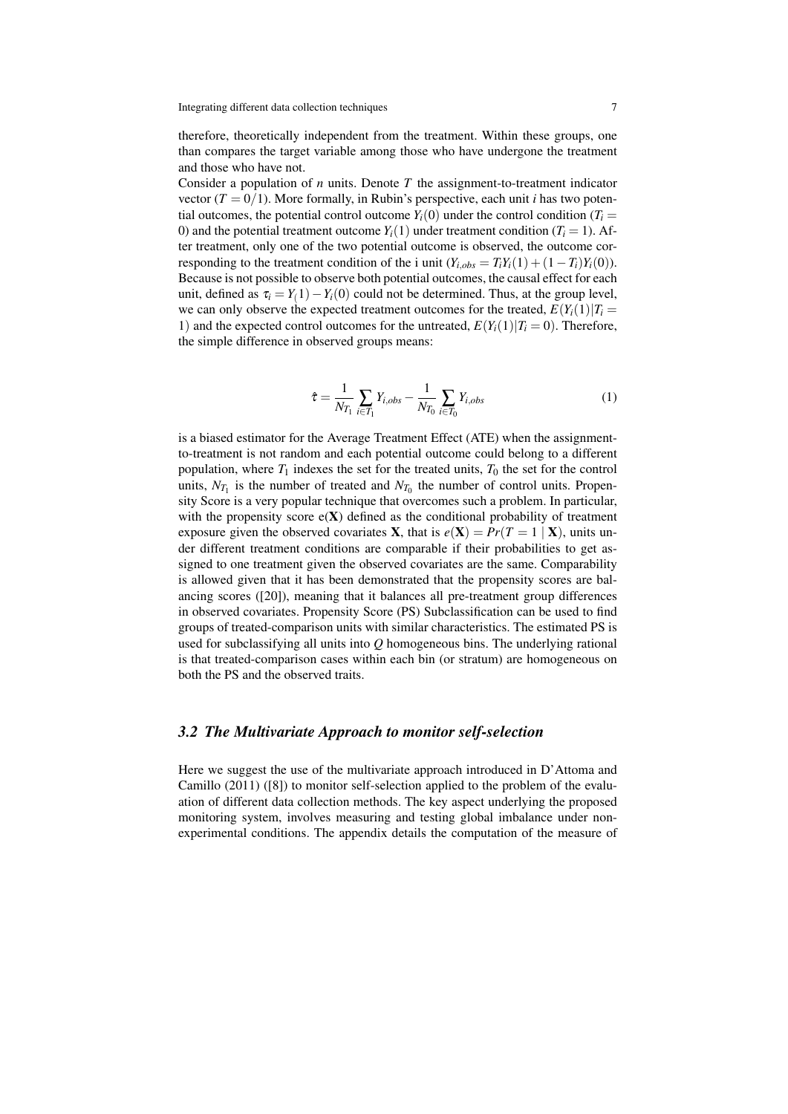therefore, theoretically independent from the treatment. Within these groups, one than compares the target variable among those who have undergone the treatment and those who have not.

Consider a population of *n* units. Denote *T* the assignment-to-treatment indicator vector  $(T = 0/1)$ . More formally, in Rubin's perspective, each unit *i* has two potential outcomes, the potential control outcome  $Y_i(0)$  under the control condition ( $T_i =$ 0) and the potential treatment outcome  $Y_i(1)$  under treatment condition ( $T_i = 1$ ). After treatment, only one of the two potential outcome is observed, the outcome corresponding to the treatment condition of the i unit  $(Y_{i,obs} = T_i Y_i(1) + (1 - T_i) Y_i(0))$ . Because is not possible to observe both potential outcomes, the causal effect for each unit, defined as  $\tau_i = Y_i(1) - Y_i(0)$  could not be determined. Thus, at the group level, we can only observe the expected treatment outcomes for the treated,  $E(Y_i(1)|T_i =$ 1) and the expected control outcomes for the untreated,  $E(Y_i(1)|T_i=0)$ . Therefore, the simple difference in observed groups means:

$$
\hat{\tau} = \frac{1}{N_{T_1}} \sum_{i \in T_1} Y_{i,obs} - \frac{1}{N_{T_0}} \sum_{i \in T_0} Y_{i,obs}
$$
(1)

is a biased estimator for the Average Treatment Effect (ATE) when the assignmentto-treatment is not random and each potential outcome could belong to a different population, where  $T_1$  indexes the set for the treated units,  $T_0$  the set for the control units,  $N_{T_1}$  is the number of treated and  $N_{T_0}$  the number of control units. Propensity Score is a very popular technique that overcomes such a problem. In particular, with the propensity score  $e(X)$  defined as the conditional probability of treatment exposure given the observed covariates **X**, that is  $e(X) = Pr(T = 1 | X)$ , units under different treatment conditions are comparable if their probabilities to get assigned to one treatment given the observed covariates are the same. Comparability is allowed given that it has been demonstrated that the propensity scores are balancing scores ([20]), meaning that it balances all pre-treatment group differences in observed covariates. Propensity Score (PS) Subclassification can be used to find groups of treated-comparison units with similar characteristics. The estimated PS is used for subclassifying all units into *Q* homogeneous bins. The underlying rational is that treated-comparison cases within each bin (or stratum) are homogeneous on both the PS and the observed traits.

## *3.2 The Multivariate Approach to monitor self-selection*

Here we suggest the use of the multivariate approach introduced in D'Attoma and Camillo (2011) ([8]) to monitor self-selection applied to the problem of the evaluation of different data collection methods. The key aspect underlying the proposed monitoring system, involves measuring and testing global imbalance under nonexperimental conditions. The appendix details the computation of the measure of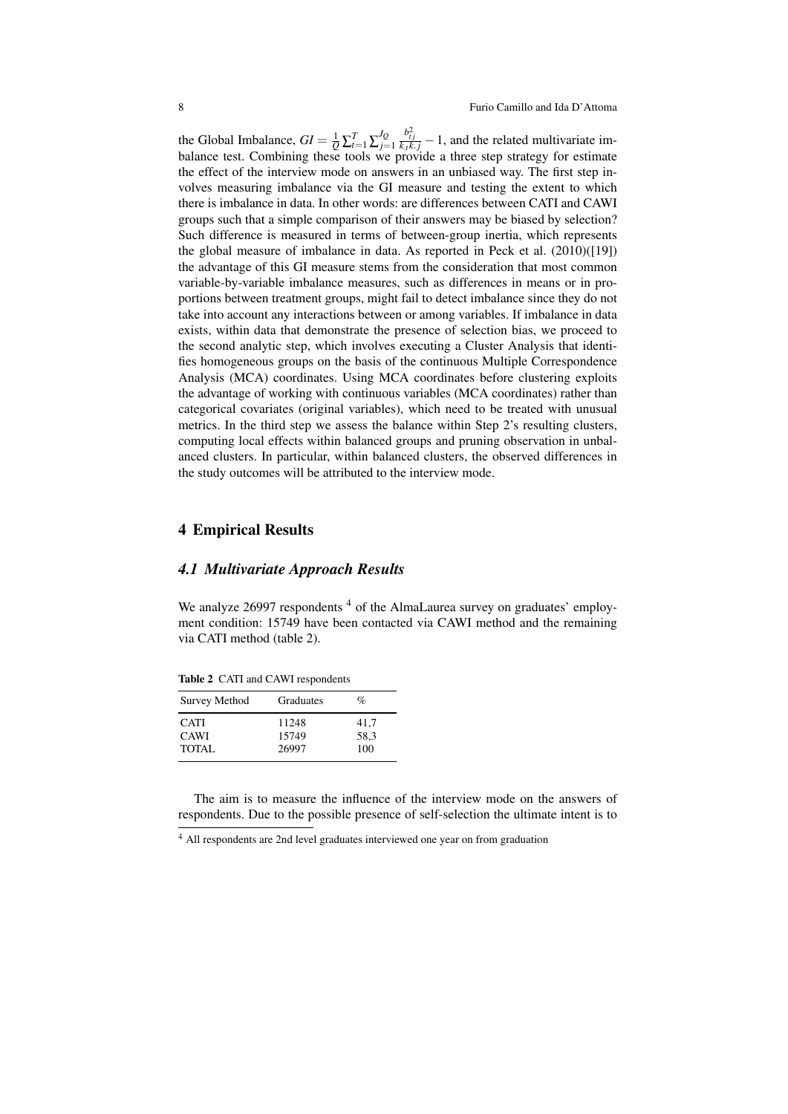the Global Imbalance,  $GI = \frac{1}{Q} \sum_{t=1}^{T} \sum_{j=1}^{JQ}$ *j*=1  $\frac{b_{ij}^2}{k_x k_j} - 1$ , and the related multivariate imbalance test. Combining these tools we provide a three step strategy for estimate the effect of the interview mode on answers in an unbiased way. The first step involves measuring imbalance via the GI measure and testing the extent to which there is imbalance in data. In other words: are differences between CATI and CAWI groups such that a simple comparison of their answers may be biased by selection? Such difference is measured in terms of between-group inertia, which represents the global measure of imbalance in data. As reported in Peck et al. (2010)([19]) the advantage of this GI measure stems from the consideration that most common variable-by-variable imbalance measures, such as differences in means or in proportions between treatment groups, might fail to detect imbalance since they do not take into account any interactions between or among variables. If imbalance in data exists, within data that demonstrate the presence of selection bias, we proceed to the second analytic step, which involves executing a Cluster Analysis that identifies homogeneous groups on the basis of the continuous Multiple Correspondence Analysis (MCA) coordinates. Using MCA coordinates before clustering exploits the advantage of working with continuous variables (MCA coordinates) rather than categorical covariates (original variables), which need to be treated with unusual metrics. In the third step we assess the balance within Step 2's resulting clusters, computing local effects within balanced groups and pruning observation in unbalanced clusters. In particular, within balanced clusters, the observed differences in the study outcomes will be attributed to the interview mode.

## 4 Empirical Results

#### *4.1 Multivariate Approach Results*

We analyze 26997 respondents <sup>4</sup> of the AlmaLaurea survey on graduates' employment condition: 15749 have been contacted via CAWI method and the remaining via CATI method (table 2).

| Survey Method | Graduates | $\%$ |
|---------------|-----------|------|
| <b>CATI</b>   | 11248     | 41.7 |
| <b>CAWI</b>   | 15749     | 58.3 |

TOTAL 26997 100

Table 2 CATI and CAWI respondents

The aim is to measure the influence of the interview mode on the answers of respondents. Due to the possible presence of self-selection the ultimate intent is to

<sup>4</sup> All respondents are 2nd level graduates interviewed one year on from graduation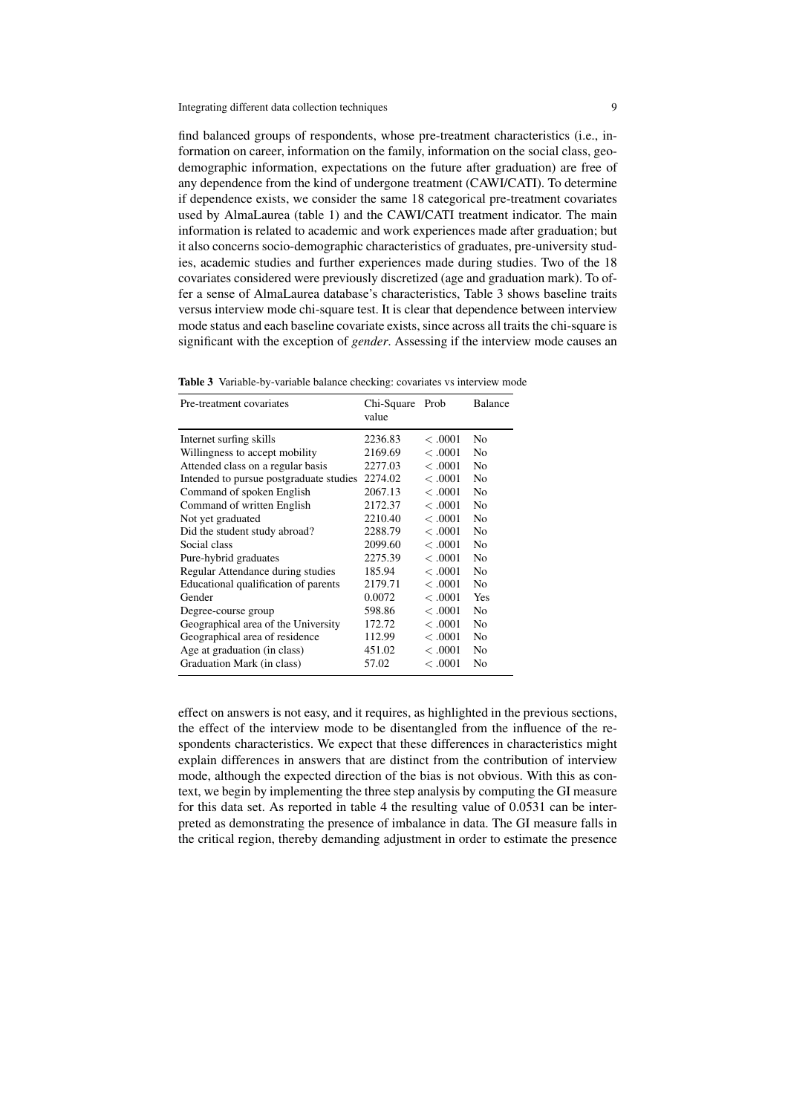find balanced groups of respondents, whose pre-treatment characteristics (i.e., information on career, information on the family, information on the social class, geodemographic information, expectations on the future after graduation) are free of any dependence from the kind of undergone treatment (CAWI/CATI). To determine if dependence exists, we consider the same 18 categorical pre-treatment covariates used by AlmaLaurea (table 1) and the CAWI/CATI treatment indicator. The main information is related to academic and work experiences made after graduation; but it also concerns socio-demographic characteristics of graduates, pre-university studies, academic studies and further experiences made during studies. Two of the 18 covariates considered were previously discretized (age and graduation mark). To offer a sense of AlmaLaurea database's characteristics, Table 3 shows baseline traits versus interview mode chi-square test. It is clear that dependence between interview mode status and each baseline covariate exists, since across all traits the chi-square is significant with the exception of *gender*. Assessing if the interview mode causes an

|  | Table 3 Variable-by-variable balance checking: covariates vs interview mode |  |  |  |  |
|--|-----------------------------------------------------------------------------|--|--|--|--|
|--|-----------------------------------------------------------------------------|--|--|--|--|

| Pre-treatment covariates                | Chi-Square<br>value | Prob    | Balance        |
|-----------------------------------------|---------------------|---------|----------------|
| Internet surfing skills                 | 2236.83             | < 0.001 | No             |
| Willingness to accept mobility          | 2169.69             | < 0.001 | N <sub>0</sub> |
| Attended class on a regular basis       | 2277.03             | < 0.001 | N <sub>0</sub> |
| Intended to pursue postgraduate studies | 2274.02             | < 0.001 | N <sub>0</sub> |
| Command of spoken English               | 2067.13             | < 0.001 | N <sub>0</sub> |
| Command of written English              | 2172.37             | < 0.001 | No             |
| Not yet graduated                       | 2210.40             | < 0.001 | N <sub>0</sub> |
| Did the student study abroad?           | 2288.79             | < 0.001 | N <sub>0</sub> |
| Social class                            | 2099.60             | < 0.001 | N <sub>0</sub> |
| Pure-hybrid graduates                   | 2275.39             | < 0.001 | No             |
| Regular Attendance during studies       | 185.94              | < 0.001 | N <sub>0</sub> |
| Educational qualification of parents    | 2179.71             | < 0.001 | N <sub>0</sub> |
| Gender                                  | 0.0072              | < 0.001 | Yes            |
| Degree-course group                     | 598.86              | < 0.001 | N <sub>0</sub> |
| Geographical area of the University     | 172.72              | < 0.001 | N <sub>0</sub> |
| Geographical area of residence          | 112.99              | < 0.001 | N <sub>0</sub> |
| Age at graduation (in class)            | 451.02              | < 0.001 | N <sub>0</sub> |
| Graduation Mark (in class)              | 57.02               | < 0.001 | No             |

effect on answers is not easy, and it requires, as highlighted in the previous sections, the effect of the interview mode to be disentangled from the influence of the respondents characteristics. We expect that these differences in characteristics might explain differences in answers that are distinct from the contribution of interview mode, although the expected direction of the bias is not obvious. With this as context, we begin by implementing the three step analysis by computing the GI measure for this data set. As reported in table 4 the resulting value of 0.0531 can be interpreted as demonstrating the presence of imbalance in data. The GI measure falls in the critical region, thereby demanding adjustment in order to estimate the presence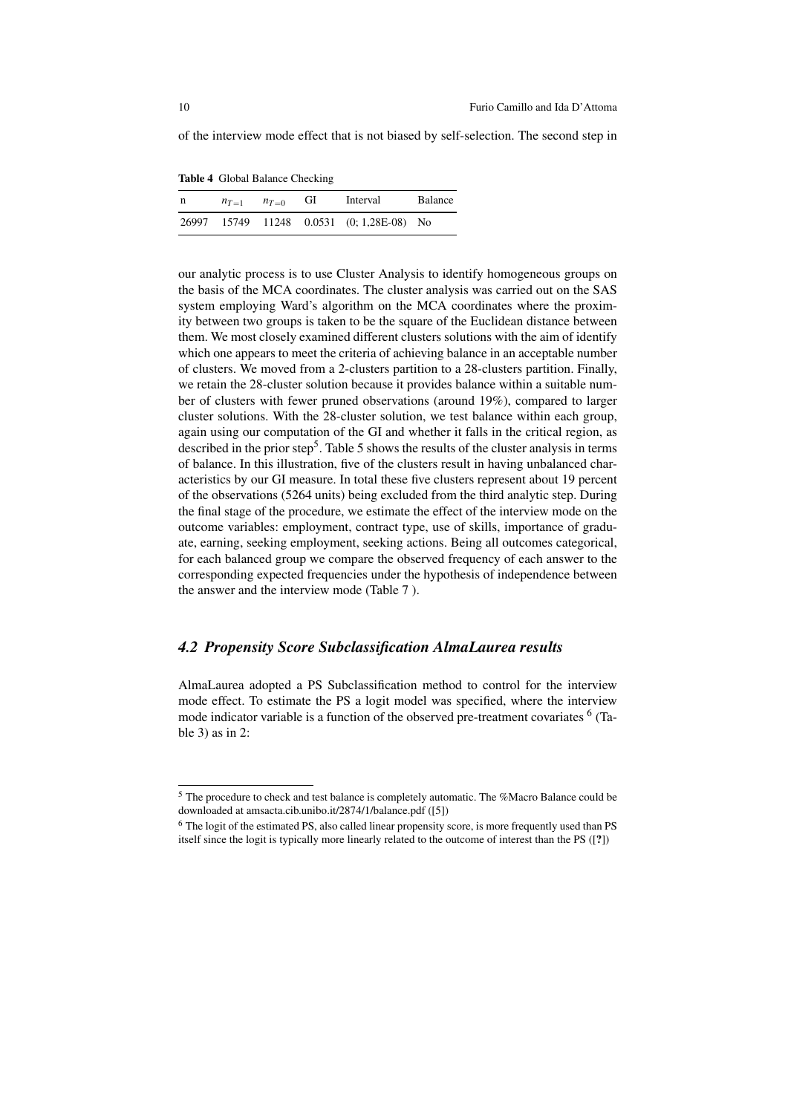of the interview mode effect that is not biased by self-selection. The second step in

Table 4 Global Balance Checking

| n | $n_{T=1}$ | $n_{T=0}$ | GI | Interval                                  | <b>Balance</b> |
|---|-----------|-----------|----|-------------------------------------------|----------------|
|   |           |           |    | 26997 15749 11248 0.0531 (0; 1,28E-08) No |                |

our analytic process is to use Cluster Analysis to identify homogeneous groups on the basis of the MCA coordinates. The cluster analysis was carried out on the SAS system employing Ward's algorithm on the MCA coordinates where the proximity between two groups is taken to be the square of the Euclidean distance between them. We most closely examined different clusters solutions with the aim of identify which one appears to meet the criteria of achieving balance in an acceptable number of clusters. We moved from a 2-clusters partition to a 28-clusters partition. Finally, we retain the 28-cluster solution because it provides balance within a suitable number of clusters with fewer pruned observations (around 19%), compared to larger cluster solutions. With the 28-cluster solution, we test balance within each group, again using our computation of the GI and whether it falls in the critical region, as described in the prior step<sup>5</sup>. Table 5 shows the results of the cluster analysis in terms of balance. In this illustration, five of the clusters result in having unbalanced characteristics by our GI measure. In total these five clusters represent about 19 percent of the observations (5264 units) being excluded from the third analytic step. During the final stage of the procedure, we estimate the effect of the interview mode on the outcome variables: employment, contract type, use of skills, importance of graduate, earning, seeking employment, seeking actions. Being all outcomes categorical, for each balanced group we compare the observed frequency of each answer to the corresponding expected frequencies under the hypothesis of independence between the answer and the interview mode (Table 7 ).

## *4.2 Propensity Score Subclassification AlmaLaurea results*

AlmaLaurea adopted a PS Subclassification method to control for the interview mode effect. To estimate the PS a logit model was specified, where the interview mode indicator variable is a function of the observed pre-treatment covariates <sup>6</sup> (Table 3) as in 2:

<sup>5</sup> The procedure to check and test balance is completely automatic. The %Macro Balance could be downloaded at amsacta.cib.unibo.it/2874/1/balance.pdf ([5])

<sup>&</sup>lt;sup>6</sup> The logit of the estimated PS, also called linear propensity score, is more frequently used than PS itself since the logit is typically more linearly related to the outcome of interest than the PS ([?])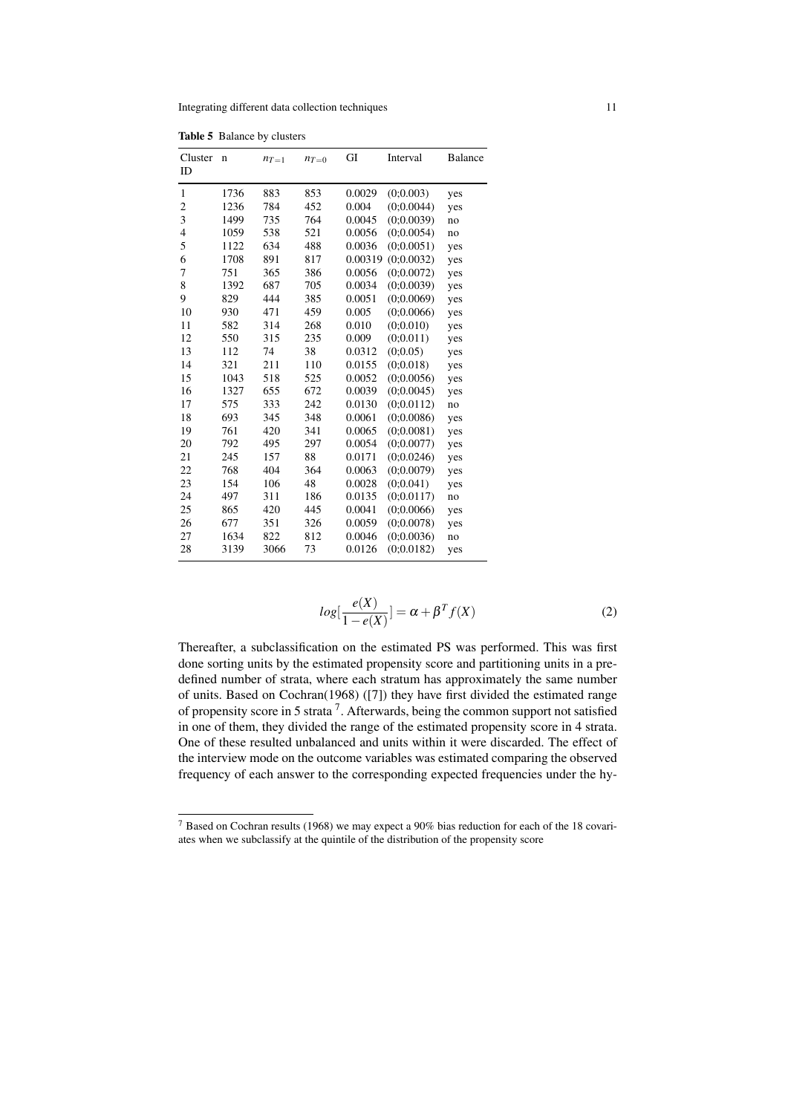Integrating different data collection techniques 11

| <b>Table 5</b> Balance by clusters |                |             |           |           |         |            |         |
|------------------------------------|----------------|-------------|-----------|-----------|---------|------------|---------|
|                                    | Cluster<br>ID  | $\mathbf n$ | $n_{T=1}$ | $n_{T=0}$ | GI      | Interval   | Balance |
|                                    | $\mathbf{1}$   | 1736        | 883       | 853       | 0.0029  | (0:0.003)  | yes     |
|                                    | $\overline{c}$ | 1236        | 784       | 452       | 0.004   | (0:0.0044) | yes     |
|                                    | 3              | 1499        | 735       | 764       | 0.0045  | (0:0.0039) | no      |
|                                    | $\overline{4}$ | 1059        | 538       | 521       | 0.0056  | (0;0.0054) | no      |
|                                    | 5              | 1122        | 634       | 488       | 0.0036  | (0:0.0051) | yes     |
|                                    | 6              | 1708        | 891       | 817       | 0.00319 | (0:0.0032) | yes     |
|                                    | 7              | 751         | 365       | 386       | 0.0056  | (0:0.0072) | yes     |
|                                    | 8              | 1392        | 687       | 705       | 0.0034  | (0:0.0039) | yes     |
|                                    | 9              | 829         | 444       | 385       | 0.0051  | (0;0.0069) | yes     |
|                                    | 10             | 930         | 471       | 459       | 0.005   | (0:0.0066) | yes     |
|                                    | 11             | 582         | 314       | 268       | 0.010   | (0;0.010)  | yes     |
|                                    | 12             | 550         | 315       | 235       | 0.009   | (0;0.011)  | yes     |
|                                    | 13             | 112         | 74        | 38        | 0.0312  | (0:0.05)   | yes     |
|                                    | 14             | 321         | 211       | 110       | 0.0155  | (0;0.018)  | yes     |
|                                    | 15             | 1043        | 518       | 525       | 0.0052  | (0:0.0056) | yes     |
|                                    | 16             | 1327        | 655       | 672       | 0.0039  | (0;0.0045) | yes     |
|                                    | 17             | 575         | 333       | 242       | 0.0130  | (0:0.0112) | no      |
|                                    | 18             | 693         | 345       | 348       | 0.0061  | (0:0.0086) | yes     |
|                                    | 19             | 761         | 420       | 341       | 0.0065  | (0;0.0081) | yes     |
|                                    | 20             | 792         | 495       | 297       | 0.0054  | (0:0.0077) | yes     |
|                                    | 21             | 245         | 157       | 88        | 0.0171  | (0;0.0246) | yes     |
|                                    | 22             | 768         | 404       | 364       | 0.0063  | (0:0.0079) | yes     |
|                                    | 23             | 154         | 106       | 48        | 0.0028  | (0:0.041)  | yes     |
|                                    | 24             | 497         | 311       | 186       | 0.0135  | (0;0.0117) | no      |
|                                    | 25             | 865         | 420       | 445       | 0.0041  | (0:0.0066) | yes     |
|                                    | 26             | 677         | 351       | 326       | 0.0059  | (0;0.0078) | yes     |
|                                    | 27             | 1634        | 822       | 812       | 0.0046  | (0;0.0036) | no      |
|                                    | 28             | 3139        | 3066      | 73        | 0.0126  | (0:0.0182) | yes     |
|                                    |                |             |           |           |         |            |         |

$$
log[\frac{e(X)}{1 - e(X)}] = \alpha + \beta^{T} f(X)
$$
\n(2)

Thereafter, a subclassification on the estimated PS was performed. This was first done sorting units by the estimated propensity score and partitioning units in a predefined number of strata, where each stratum has approximately the same number of units. Based on Cochran(1968) ([7]) they have first divided the estimated range of propensity score in 5 strata<sup>7</sup>. Afterwards, being the common support not satisfied in one of them, they divided the range of the estimated propensity score in 4 strata. One of these resulted unbalanced and units within it were discarded. The effect of the interview mode on the outcome variables was estimated comparing the observed frequency of each answer to the corresponding expected frequencies under the hy-

<sup>7</sup> Based on Cochran results (1968) we may expect a 90% bias reduction for each of the 18 covariates when we subclassify at the quintile of the distribution of the propensity score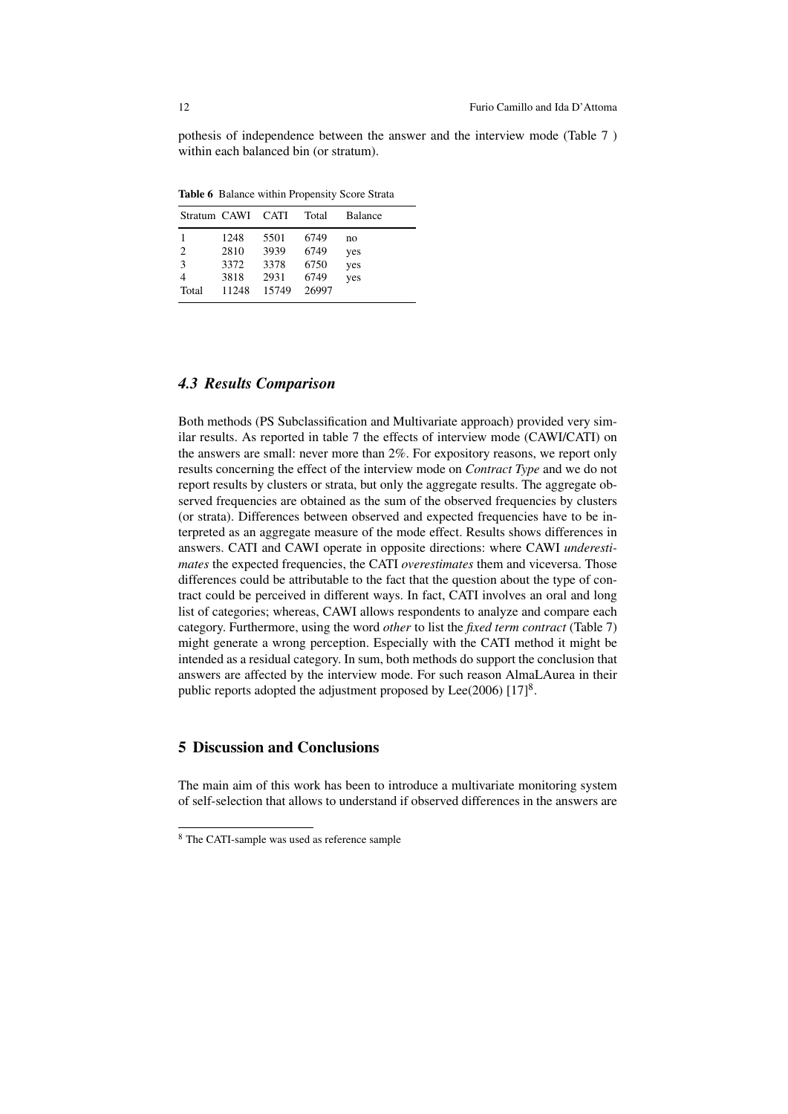pothesis of independence between the answer and the interview mode (Table 7 ) within each balanced bin (or stratum).

Table 6 Balance within Propensity Score Strata

|                      | Stratum CAWI CATI                     |                                       | Total                                 | <b>Balance</b>          |
|----------------------|---------------------------------------|---------------------------------------|---------------------------------------|-------------------------|
| 2<br>3<br>4<br>Total | 1248<br>2810<br>3372<br>3818<br>11248 | 5501<br>3939<br>3378<br>2931<br>15749 | 6749<br>6749<br>6750<br>6749<br>26997 | no<br>yes<br>yes<br>yes |

## *4.3 Results Comparison*

Both methods (PS Subclassification and Multivariate approach) provided very similar results. As reported in table 7 the effects of interview mode (CAWI/CATI) on the answers are small: never more than 2%. For expository reasons, we report only results concerning the effect of the interview mode on *Contract Type* and we do not report results by clusters or strata, but only the aggregate results. The aggregate observed frequencies are obtained as the sum of the observed frequencies by clusters (or strata). Differences between observed and expected frequencies have to be interpreted as an aggregate measure of the mode effect. Results shows differences in answers. CATI and CAWI operate in opposite directions: where CAWI *underestimates* the expected frequencies, the CATI *overestimates* them and viceversa. Those differences could be attributable to the fact that the question about the type of contract could be perceived in different ways. In fact, CATI involves an oral and long list of categories; whereas, CAWI allows respondents to analyze and compare each category. Furthermore, using the word *other* to list the *fixed term contract* (Table 7) might generate a wrong perception. Especially with the CATI method it might be intended as a residual category. In sum, both methods do support the conclusion that answers are affected by the interview mode. For such reason AlmaLAurea in their public reports adopted the adjustment proposed by Lee(2006)  $[17]^8$ .

## 5 Discussion and Conclusions

The main aim of this work has been to introduce a multivariate monitoring system of self-selection that allows to understand if observed differences in the answers are

<sup>8</sup> The CATI-sample was used as reference sample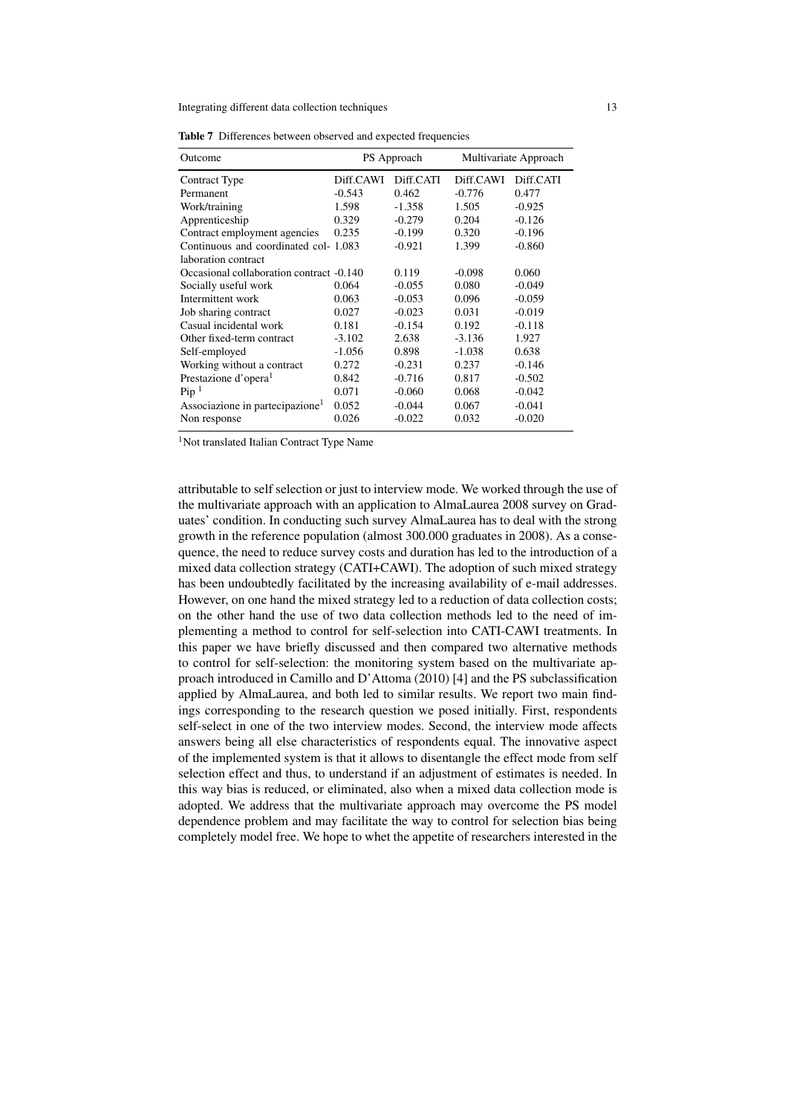| Outcome                                     | PS Approach |           | Multivariate Approach |           |
|---------------------------------------------|-------------|-----------|-----------------------|-----------|
| Contract Type                               | Diff.CAWI   | Diff.CATI | Diff.CAWI             | Diff.CATI |
| Permanent                                   | $-0.543$    | 0.462     | $-0.776$              | 0.477     |
| Work/training                               | 1.598       | $-1.358$  | 1.505                 | $-0.925$  |
| Apprenticeship                              | 0.329       | $-0.279$  | 0.204                 | $-0.126$  |
| Contract employment agencies                | 0.235       | $-0.199$  | 0.320                 | $-0.196$  |
| Continuous and coordinated col-1.083        |             | $-0.921$  | 1.399                 | $-0.860$  |
| laboration contract                         |             |           |                       |           |
| Occasional collaboration contract -0.140    |             | 0.119     | $-0.098$              | 0.060     |
| Socially useful work                        | 0.064       | $-0.055$  | 0.080                 | $-0.049$  |
| Intermittent work                           | 0.063       | $-0.053$  | 0.096                 | $-0.059$  |
| Job sharing contract                        | 0.027       | $-0.023$  | 0.031                 | $-0.019$  |
| Casual incidental work                      | 0.181       | $-0.154$  | 0.192                 | $-0.118$  |
| Other fixed-term contract                   | $-3.102$    | 2.638     | $-3.136$              | 1.927     |
| Self-employed                               | $-1.056$    | 0.898     | $-1.038$              | 0.638     |
| Working without a contract                  | 0.272       | $-0.231$  | 0.237                 | $-0.146$  |
| Prestazione d'opera <sup>1</sup>            | 0.842       | $-0.716$  | 0.817                 | $-0.502$  |
| Pip <sup>1</sup>                            | 0.071       | $-0.060$  | 0.068                 | $-0.042$  |
| Associazione in partecipazione <sup>1</sup> | 0.052       | $-0.044$  | 0.067                 | $-0.041$  |
| Non response                                | 0.026       | $-0.022$  | 0.032                 | $-0.020$  |

Table 7 Differences between observed and expected frequencies

<sup>1</sup>Not translated Italian Contract Type Name

attributable to self selection or just to interview mode. We worked through the use of the multivariate approach with an application to AlmaLaurea 2008 survey on Graduates' condition. In conducting such survey AlmaLaurea has to deal with the strong growth in the reference population (almost 300.000 graduates in 2008). As a consequence, the need to reduce survey costs and duration has led to the introduction of a mixed data collection strategy (CATI+CAWI). The adoption of such mixed strategy has been undoubtedly facilitated by the increasing availability of e-mail addresses. However, on one hand the mixed strategy led to a reduction of data collection costs; on the other hand the use of two data collection methods led to the need of implementing a method to control for self-selection into CATI-CAWI treatments. In this paper we have briefly discussed and then compared two alternative methods to control for self-selection: the monitoring system based on the multivariate approach introduced in Camillo and D'Attoma (2010) [4] and the PS subclassification applied by AlmaLaurea, and both led to similar results. We report two main findings corresponding to the research question we posed initially. First, respondents self-select in one of the two interview modes. Second, the interview mode affects answers being all else characteristics of respondents equal. The innovative aspect of the implemented system is that it allows to disentangle the effect mode from self selection effect and thus, to understand if an adjustment of estimates is needed. In this way bias is reduced, or eliminated, also when a mixed data collection mode is adopted. We address that the multivariate approach may overcome the PS model dependence problem and may facilitate the way to control for selection bias being completely model free. We hope to whet the appetite of researchers interested in the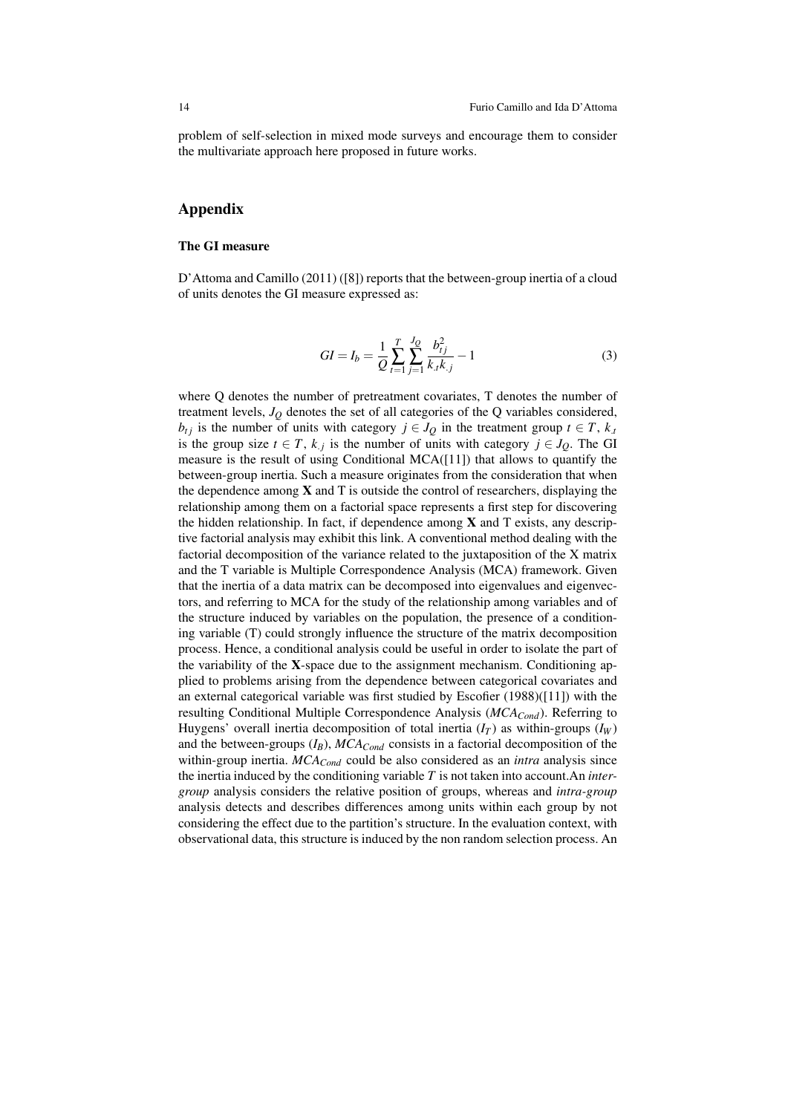problem of self-selection in mixed mode surveys and encourage them to consider the multivariate approach here proposed in future works.

## Appendix

#### The GI measure

D'Attoma and Camillo (2011) ([8]) reports that the between-group inertia of a cloud of units denotes the GI measure expressed as:

$$
GI = I_b = \frac{1}{Q} \sum_{t=1}^{T} \sum_{j=1}^{J_Q} \frac{b_{tj}^2}{k_x k_{.j}} - 1
$$
\n(3)

where Q denotes the number of pretreatment covariates, T denotes the number of treatment levels,  $J<sub>O</sub>$  denotes the set of all categories of the Q variables considered, *b*<sub>t*j*</sub> is the number of units with category  $j \in J_Q$  in the treatment group  $t \in T$ ,  $k_t$ is the group size  $t \in T$ ,  $k_j$  is the number of units with category  $j \in J_Q$ . The GI measure is the result of using Conditional MCA $(11)$  that allows to quantify the between-group inertia. Such a measure originates from the consideration that when the dependence among  $X$  and  $T$  is outside the control of researchers, displaying the relationship among them on a factorial space represents a first step for discovering the hidden relationship. In fact, if dependence among  $X$  and  $T$  exists, any descriptive factorial analysis may exhibit this link. A conventional method dealing with the factorial decomposition of the variance related to the juxtaposition of the X matrix and the T variable is Multiple Correspondence Analysis (MCA) framework. Given that the inertia of a data matrix can be decomposed into eigenvalues and eigenvectors, and referring to MCA for the study of the relationship among variables and of the structure induced by variables on the population, the presence of a conditioning variable (T) could strongly influence the structure of the matrix decomposition process. Hence, a conditional analysis could be useful in order to isolate the part of the variability of the X-space due to the assignment mechanism. Conditioning applied to problems arising from the dependence between categorical covariates and an external categorical variable was first studied by Escofier (1988)([11]) with the resulting Conditional Multiple Correspondence Analysis (*MCACond*). Referring to Huygens' overall inertia decomposition of total inertia  $(I_T)$  as within-groups  $(I_W)$ and the between-groups (*IB*), *MCACond* consists in a factorial decomposition of the within-group inertia. *MCACond* could be also considered as an *intra* analysis since the inertia induced by the conditioning variable *T* is not taken into account.An *intergroup* analysis considers the relative position of groups, whereas and *intra-group* analysis detects and describes differences among units within each group by not considering the effect due to the partition's structure. In the evaluation context, with observational data, this structure is induced by the non random selection process. An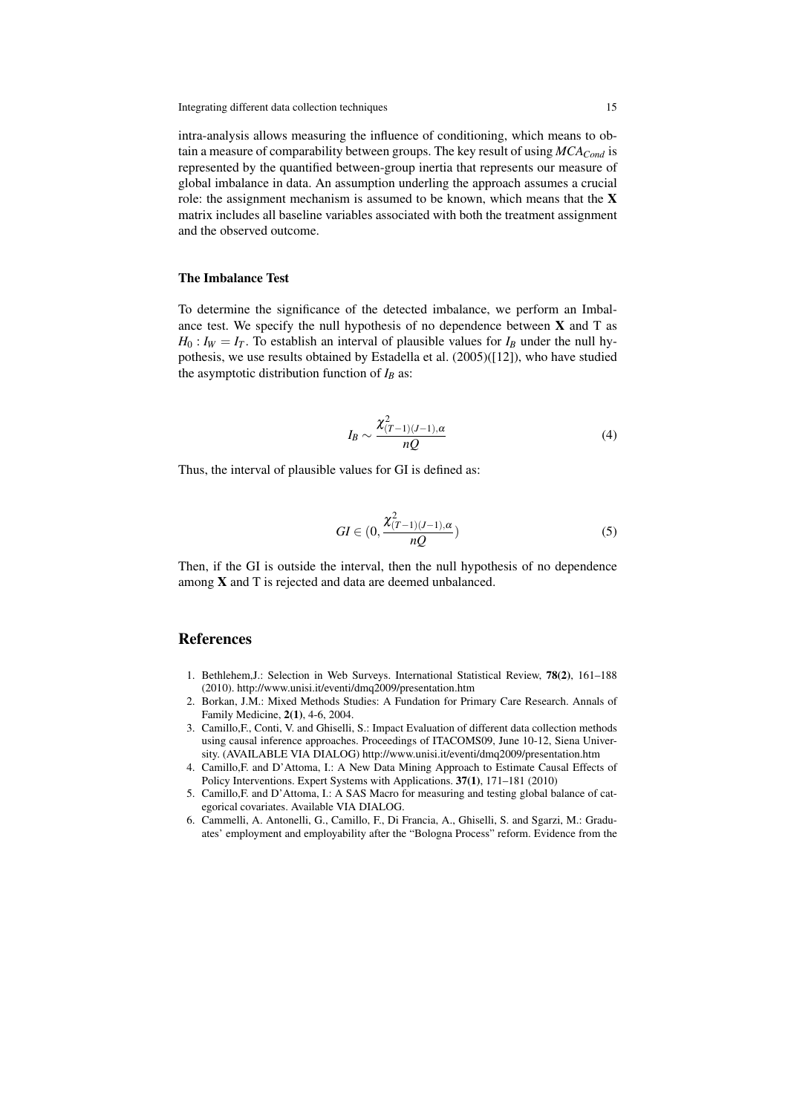intra-analysis allows measuring the influence of conditioning, which means to obtain a measure of comparability between groups. The key result of using *MCACond* is represented by the quantified between-group inertia that represents our measure of global imbalance in data. An assumption underling the approach assumes a crucial role: the assignment mechanism is assumed to be known, which means that the  $X$ matrix includes all baseline variables associated with both the treatment assignment and the observed outcome.

#### The Imbalance Test

To determine the significance of the detected imbalance, we perform an Imbalance test. We specify the null hypothesis of no dependence between  $X$  and  $T$  as  $H_0: I_W = I_T$ . To establish an interval of plausible values for  $I_B$  under the null hypothesis, we use results obtained by Estadella et al. (2005)([12]), who have studied the asymptotic distribution function of  $I_B$  as:

$$
I_B \sim \frac{\chi^2_{(T-1)(J-1),\alpha}}{nQ} \tag{4}
$$

Thus, the interval of plausible values for GI is defined as:

$$
GI \in (0, \frac{\chi^2_{(T-1)(J-1),\alpha}}{nQ})\tag{5}
$$

Then, if the GI is outside the interval, then the null hypothesis of no dependence among X and T is rejected and data are deemed unbalanced.

## References

- 1. Bethlehem,J.: Selection in Web Surveys. International Statistical Review, 78(2), 161–188 (2010). http://www.unisi.it/eventi/dmq2009/presentation.htm
- 2. Borkan, J.M.: Mixed Methods Studies: A Fundation for Primary Care Research. Annals of Family Medicine, 2(1), 4-6, 2004.
- 3. Camillo,F., Conti, V. and Ghiselli, S.: Impact Evaluation of different data collection methods using causal inference approaches. Proceedings of ITACOMS09, June 10-12, Siena University. (AVAILABLE VIA DIALOG) http://www.unisi.it/eventi/dmq2009/presentation.htm
- 4. Camillo,F. and D'Attoma, I.: A New Data Mining Approach to Estimate Causal Effects of Policy Interventions. Expert Systems with Applications. 37(1), 171–181 (2010)
- 5. Camillo,F. and D'Attoma, I.: A SAS Macro for measuring and testing global balance of categorical covariates. Available VIA DIALOG.
- 6. Cammelli, A. Antonelli, G., Camillo, F., Di Francia, A., Ghiselli, S. and Sgarzi, M.: Graduates' employment and employability after the "Bologna Process" reform. Evidence from the